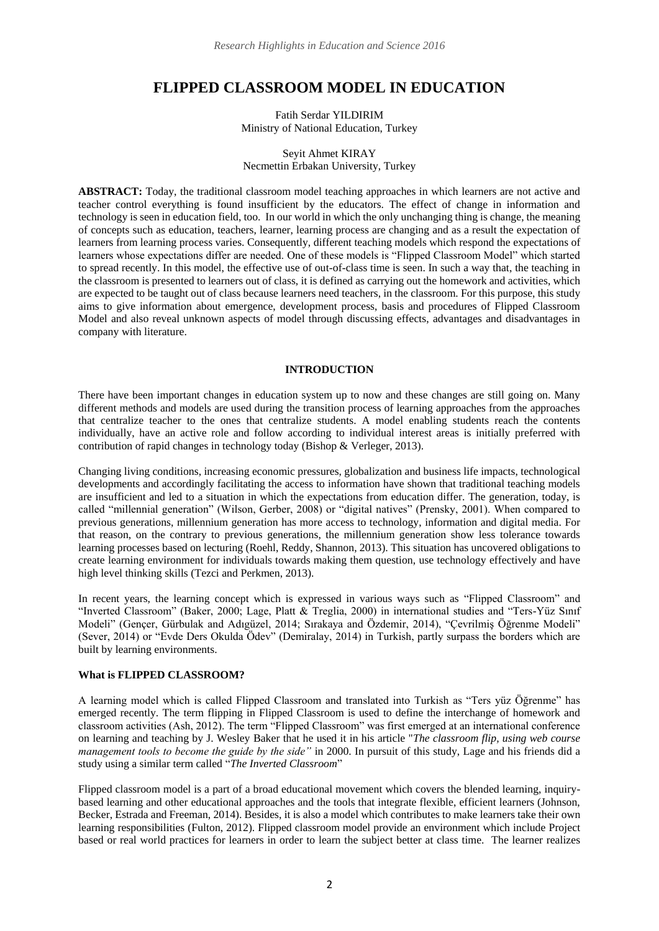# **FLIPPED CLASSROOM MODEL IN EDUCATION**

Fatih Serdar YILDIRIM Ministry of National Education, Turkey

### Seyit Ahmet KIRAY Necmettin Erbakan University, Turkey

**ABSTRACT:** Today, the traditional classroom model teaching approaches in which learners are not active and teacher control everything is found insufficient by the educators. The effect of change in information and technology is seen in education field, too. In our world in which the only unchanging thing is change, the meaning of concepts such as education, teachers, learner, learning process are changing and as a result the expectation of learners from learning process varies. Consequently, different teaching models which respond the expectations of learners whose expectations differ are needed. One of these models is "Flipped Classroom Model" which started to spread recently. In this model, the effective use of out-of-class time is seen. In such a way that, the teaching in the classroom is presented to learners out of class, it is defined as carrying out the homework and activities, which are expected to be taught out of class because learners need teachers, in the classroom. For this purpose, this study aims to give information about emergence, development process, basis and procedures of Flipped Classroom Model and also reveal unknown aspects of model through discussing effects, advantages and disadvantages in company with literature.

### **INTRODUCTION**

There have been important changes in education system up to now and these changes are still going on. Many different methods and models are used during the transition process of learning approaches from the approaches that centralize teacher to the ones that centralize students. A model enabling students reach the contents individually, have an active role and follow according to individual interest areas is initially preferred with contribution of rapid changes in technology today (Bishop & Verleger, 2013).

Changing living conditions, increasing economic pressures, globalization and business life impacts, technological developments and accordingly facilitating the access to information have shown that traditional teaching models are insufficient and led to a situation in which the expectations from education differ. The generation, today, is called "millennial generation" (Wilson, Gerber, 2008) or "digital natives" (Prensky, 2001). When compared to previous generations, millennium generation has more access to technology, information and digital media. For that reason, on the contrary to previous generations, the millennium generation show less tolerance towards learning processes based on lecturing (Roehl, Reddy, Shannon, 2013). This situation has uncovered obligations to create learning environment for individuals towards making them question, use technology effectively and have high level thinking skills (Tezci and Perkmen, 2013).

In recent years, the learning concept which is expressed in various ways such as "Flipped Classroom" and "Inverted Classroom" (Baker, 2000; Lage, Platt & Treglia, 2000) in international studies and "Ters-Yüz Sınıf Modeli" (Gençer, Gürbulak and Adıgüzel, 2014; Sırakaya and Özdemir, 2014), "Çevrilmiş Öğrenme Modeli" (Sever, 2014) or "Evde Ders Okulda Ödev" (Demiralay, 2014) in Turkish, partly surpass the borders which are built by learning environments.

# **What is FLIPPED CLASSROOM?**

A learning model which is called Flipped Classroom and translated into Turkish as "Ters yüz Öğrenme" has emerged recently. The term flipping in Flipped Classroom is used to define the interchange of homework and classroom activities (Ash, 2012). The term "Flipped Classroom" was first emerged at an international conference on learning and teaching by J. Wesley Baker that he used it in his article "*The classroom flip, using web course management tools to become the guide by the side"* in 2000. In pursuit of this study, Lage and his friends did a study using a similar term called "*The Inverted Classroom*"

Flipped classroom model is a part of a broad educational movement which covers the blended learning, inquirybased learning and other educational approaches and the tools that integrate flexible, efficient learners (Johnson, Becker, Estrada and Freeman, 2014). Besides, it is also a model which contributes to make learners take their own learning responsibilities (Fulton, 2012). Flipped classroom model provide an environment which include Project based or real world practices for learners in order to learn the subject better at class time. The learner realizes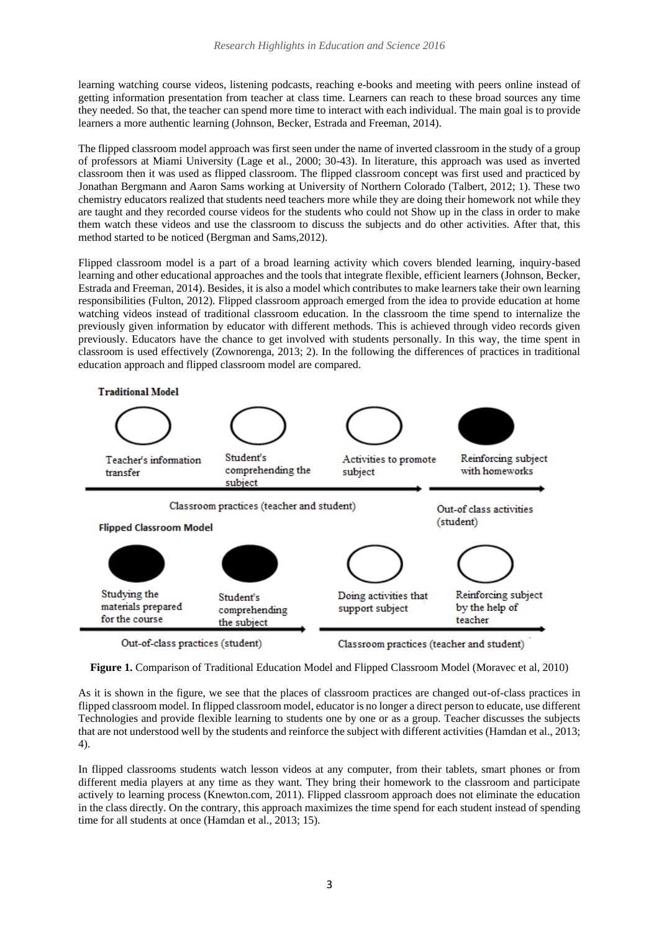learning watching course videos, listening podcasts, reaching e-books and meeting with peers online instead of getting information presentation from teacher at class time. Learners can reach to these broad sources any time they needed. So that, the teacher can spend more time to interact with each individual. The main goal is to provide learners a more authentic learning (Johnson, Becker, Estrada and Freeman, 2014).

The flipped classroom model approach was first seen under the name of inverted classroom in the study of a group of professors at Miami University (Lage et al., 2000; 30-43). In literature, this approach was used as inverted classroom then it was used as flipped classroom. The flipped classroom concept was first used and practiced by Jonathan Bergmann and Aaron Sams working at University of Northern Colorado (Talbert, 2012; 1). These two chemistry educators realized that students need teachers more while they are doing their homework not while they are taught and they recorded course videos for the students who could not Show up in the class in order to make them watch these videos and use the classroom to discuss the subjects and do other activities. After that, this method started to be noticed (Bergman and Sams,2012).

Flipped classroom model is a part of a broad learning activity which covers blended learning, inquiry-based learning and other educational approaches and the tools that integrate flexible, efficient learners (Johnson, Becker, Estrada and Freeman, 2014). Besides, it is also a model which contributes to make learners take their own learning responsibilities (Fulton, 2012). Flipped classroom approach emerged from the idea to provide education at home watching videos instead of traditional classroom education. In the classroom the time spend to internalize the previously given information by educator with different methods. This is achieved through video records given previously. Educators have the chance to get involved with students personally. In this way, the time spent in classroom is used effectively (Zownorenga, 2013; 2). In the following the differences of practices in traditional education approach and flipped classroom model are compared.



**Figure 1.** Comparison of Traditional Education Model and Flipped Classroom Model (Moravec et al, 2010)

As it is shown in the figure, we see that the places of classroom practices are changed out-of-class practices in flipped classroom model. In flipped classroom model, educator is no longer a direct person to educate, use different Technologies and provide flexible learning to students one by one or as a group. Teacher discusses the subjects that are not understood well by the students and reinforce the subject with different activities (Hamdan et al., 2013; 4).

In flipped classrooms students watch lesson videos at any computer, from their tablets, smart phones or from different media players at any time as they want. They bring their homework to the classroom and participate actively to learning process (Knewton.com, 2011). Flipped classroom approach does not eliminate the education in the class directly. On the contrary, this approach maximizes the time spend for each student instead of spending time for all students at once (Hamdan et al., 2013; 15).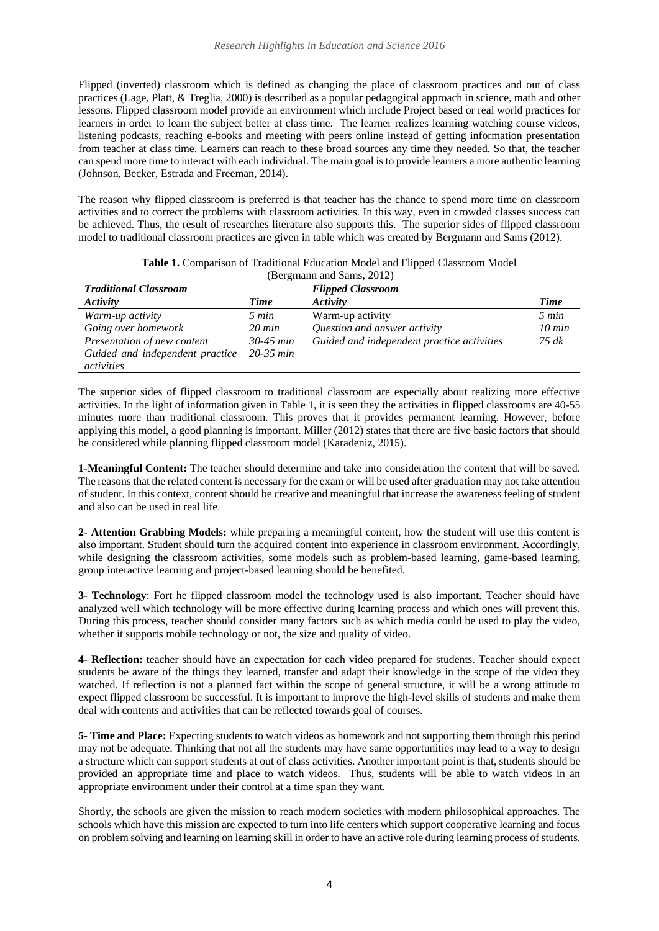Flipped (inverted) classroom which is defined as changing the place of classroom practices and out of class practices (Lage, Platt, & Treglia, 2000) is described as a popular pedagogical approach in science, math and other lessons. Flipped classroom model provide an environment which include Project based or real world practices for learners in order to learn the subject better at class time. The learner realizes learning watching course videos, listening podcasts, reaching e-books and meeting with peers online instead of getting information presentation from teacher at class time. Learners can reach to these broad sources any time they needed. So that, the teacher can spend more time to interact with each individual. The main goal is to provide learners a more authentic learning (Johnson, Becker, Estrada and Freeman, 2014).

The reason why flipped classroom is preferred is that teacher has the chance to spend more time on classroom activities and to correct the problems with classroom activities. In this way, even in crowded classes success can be achieved. Thus, the result of researches literature also supports this. The superior sides of flipped classroom model to traditional classroom practices are given in table which was created by Bergmann and Sams (2012).

| (Bergmann and Sams, 2012)       |                  |                                            |                  |
|---------------------------------|------------------|--------------------------------------------|------------------|
| <b>Traditional Classroom</b>    |                  | <b>Flipped Classroom</b>                   |                  |
| <b>Activity</b>                 | Time             | Activity                                   | Time             |
| Warm-up activity                | 5 min            | Warm-up activity                           | 5 min            |
| Going over homework             | $20 \text{ min}$ | Question and answer activity               | $10 \text{ min}$ |
| Presentation of new content     | $30-45$ min      | Guided and independent practice activities | 75 dk            |
| Guided and independent practice | $20 - 35$ min    |                                            |                  |
| activities                      |                  |                                            |                  |

**Table 1.** Comparison of Traditional Education Model and Flipped Classroom Model

The superior sides of flipped classroom to traditional classroom are especially about realizing more effective activities. In the light of information given in Table 1, it is seen they the activities in flipped classrooms are 40-55 minutes more than traditional classroom. This proves that it provides permanent learning. However, before applying this model, a good planning is important. Miller (2012) states that there are five basic factors that should be considered while planning flipped classroom model (Karadeniz, 2015).

**1-Meaningful Content:** The teacher should determine and take into consideration the content that will be saved. The reasons that the related content is necessary for the exam or will be used after graduation may not take attention of student. In this context, content should be creative and meaningful that increase the awareness feeling of student and also can be used in real life.

**2**- **Attention Grabbing Models:** while preparing a meaningful content, how the student will use this content is also important. Student should turn the acquired content into experience in classroom environment. Accordingly, while designing the classroom activities, some models such as problem-based learning, game-based learning, group interactive learning and project-based learning should be benefited.

**3- Technology**: Fort he flipped classroom model the technology used is also important. Teacher should have analyzed well which technology will be more effective during learning process and which ones will prevent this. During this process, teacher should consider many factors such as which media could be used to play the video, whether it supports mobile technology or not, the size and quality of video.

**4- Reflection:** teacher should have an expectation for each video prepared for students. Teacher should expect students be aware of the things they learned, transfer and adapt their knowledge in the scope of the video they watched. If reflection is not a planned fact within the scope of general structure, it will be a wrong attitude to expect flipped classroom be successful. It is important to improve the high-level skills of students and make them deal with contents and activities that can be reflected towards goal of courses.

**5- Time and Place:** Expecting students to watch videos as homework and not supporting them through this period may not be adequate. Thinking that not all the students may have same opportunities may lead to a way to design a structure which can support students at out of class activities. Another important point is that, students should be provided an appropriate time and place to watch videos. Thus, students will be able to watch videos in an appropriate environment under their control at a time span they want.

Shortly, the schools are given the mission to reach modern societies with modern philosophical approaches. The schools which have this mission are expected to turn into life centers which support cooperative learning and focus on problem solving and learning on learning skill in order to have an active role during learning process of students.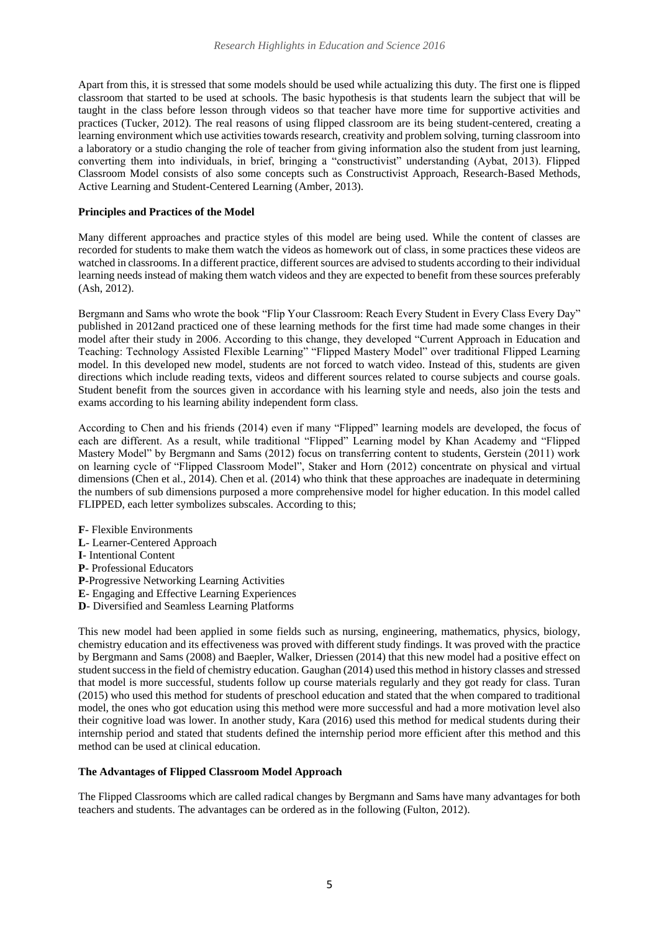Apart from this, it is stressed that some models should be used while actualizing this duty. The first one is flipped classroom that started to be used at schools. The basic hypothesis is that students learn the subject that will be taught in the class before lesson through videos so that teacher have more time for supportive activities and practices (Tucker, 2012). The real reasons of using flipped classroom are its being student-centered, creating a learning environment which use activities towards research, creativity and problem solving, turning classroom into a laboratory or a studio changing the role of teacher from giving information also the student from just learning, converting them into individuals, in brief, bringing a "constructivist" understanding (Aybat, 2013). Flipped Classroom Model consists of also some concepts such as Constructivist Approach, Research-Based Methods, Active Learning and Student-Centered Learning (Amber, 2013).

## **Principles and Practices of the Model**

Many different approaches and practice styles of this model are being used. While the content of classes are recorded for students to make them watch the videos as homework out of class, in some practices these videos are watched in classrooms. In a different practice, different sources are advised to students according to their individual learning needs instead of making them watch videos and they are expected to benefit from these sources preferably (Ash, 2012).

Bergmann and Sams who wrote the book "Flip Your Classroom: Reach Every Student in Every Class Every Day" published in 2012and practiced one of these learning methods for the first time had made some changes in their model after their study in 2006. According to this change, they developed "Current Approach in Education and Teaching: Technology Assisted Flexible Learning" "Flipped Mastery Model" over traditional Flipped Learning model. In this developed new model, students are not forced to watch video. Instead of this, students are given directions which include reading texts, videos and different sources related to course subjects and course goals. Student benefit from the sources given in accordance with his learning style and needs, also join the tests and exams according to his learning ability independent form class.

According to Chen and his friends (2014) even if many "Flipped" learning models are developed, the focus of each are different. As a result, while traditional "Flipped" Learning model by Khan Academy and "Flipped Mastery Model" by Bergmann and Sams (2012) focus on transferring content to students, Gerstein (2011) work on learning cycle of "Flipped Classroom Model", Staker and Horn (2012) concentrate on physical and virtual dimensions (Chen et al., 2014). Chen et al. (2014) who think that these approaches are inadequate in determining the numbers of sub dimensions purposed a more comprehensive model for higher education. In this model called FLIPPED, each letter symbolizes subscales. According to this;

- **F** Flexible Environments
- **L** Learner-Centered Approach
- **I** Intentional Content
- **P** Professional Educators
- **P**-Progressive Networking Learning Activities
- **E** Engaging and Effective Learning Experiences
- **D** Diversified and Seamless Learning Platforms

This new model had been applied in some fields such as nursing, engineering, mathematics, physics, biology, chemistry education and its effectiveness was proved with different study findings. It was proved with the practice by Bergmann and Sams (2008) and Baepler, Walker, Driessen (2014) that this new model had a positive effect on student success in the field of chemistry education. Gaughan (2014) used this method in history classes and stressed that model is more successful, students follow up course materials regularly and they got ready for class. Turan (2015) who used this method for students of preschool education and stated that the when compared to traditional model, the ones who got education using this method were more successful and had a more motivation level also their cognitive load was lower. In another study, Kara (2016) used this method for medical students during their internship period and stated that students defined the internship period more efficient after this method and this method can be used at clinical education.

# **The Advantages of Flipped Classroom Model Approach**

The Flipped Classrooms which are called radical changes by Bergmann and Sams have many advantages for both teachers and students. The advantages can be ordered as in the following (Fulton, 2012).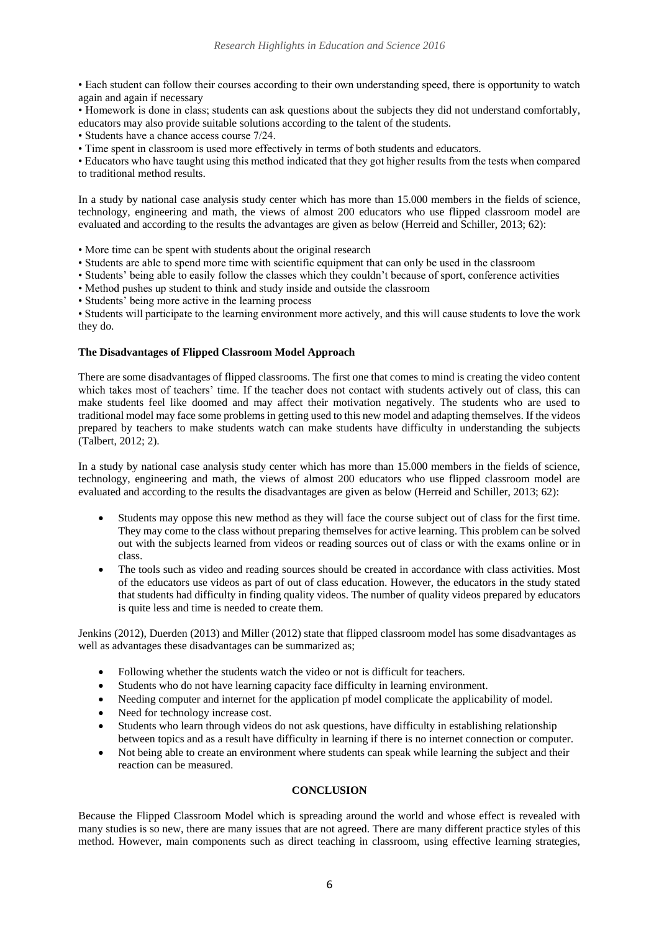• Each student can follow their courses according to their own understanding speed, there is opportunity to watch again and again if necessary

• Homework is done in class; students can ask questions about the subjects they did not understand comfortably, educators may also provide suitable solutions according to the talent of the students.

• Students have a chance access course 7/24.

• Time spent in classroom is used more effectively in terms of both students and educators.

• Educators who have taught using this method indicated that they got higher results from the tests when compared to traditional method results.

In a study by national case analysis study center which has more than 15.000 members in the fields of science, technology, engineering and math, the views of almost 200 educators who use flipped classroom model are evaluated and according to the results the advantages are given as below (Herreid and Schiller, 2013; 62):

• More time can be spent with students about the original research

- Students are able to spend more time with scientific equipment that can only be used in the classroom
- Students' being able to easily follow the classes which they couldn't because of sport, conference activities

• Method pushes up student to think and study inside and outside the classroom

• Students' being more active in the learning process

• Students will participate to the learning environment more actively, and this will cause students to love the work they do.

### **The Disadvantages of Flipped Classroom Model Approach**

There are some disadvantages of flipped classrooms. The first one that comes to mind is creating the video content which takes most of teachers' time. If the teacher does not contact with students actively out of class, this can make students feel like doomed and may affect their motivation negatively. The students who are used to traditional model may face some problems in getting used to this new model and adapting themselves. If the videos prepared by teachers to make students watch can make students have difficulty in understanding the subjects (Talbert, 2012; 2).

In a study by national case analysis study center which has more than 15.000 members in the fields of science, technology, engineering and math, the views of almost 200 educators who use flipped classroom model are evaluated and according to the results the disadvantages are given as below (Herreid and Schiller, 2013; 62):

- Students may oppose this new method as they will face the course subject out of class for the first time. They may come to the class without preparing themselves for active learning. This problem can be solved out with the subjects learned from videos or reading sources out of class or with the exams online or in class.
- The tools such as video and reading sources should be created in accordance with class activities. Most of the educators use videos as part of out of class education. However, the educators in the study stated that students had difficulty in finding quality videos. The number of quality videos prepared by educators is quite less and time is needed to create them.

Jenkins (2012), Duerden (2013) and Miller (2012) state that flipped classroom model has some disadvantages as well as advantages these disadvantages can be summarized as;

- Following whether the students watch the video or not is difficult for teachers.
- Students who do not have learning capacity face difficulty in learning environment.
- Needing computer and internet for the application pf model complicate the applicability of model.
- Need for technology increase cost.
- Students who learn through videos do not ask questions, have difficulty in establishing relationship between topics and as a result have difficulty in learning if there is no internet connection or computer.
- Not being able to create an environment where students can speak while learning the subject and their reaction can be measured.

# **CONCLUSION**

Because the Flipped Classroom Model which is spreading around the world and whose effect is revealed with many studies is so new, there are many issues that are not agreed. There are many different practice styles of this method. However, main components such as direct teaching in classroom, using effective learning strategies,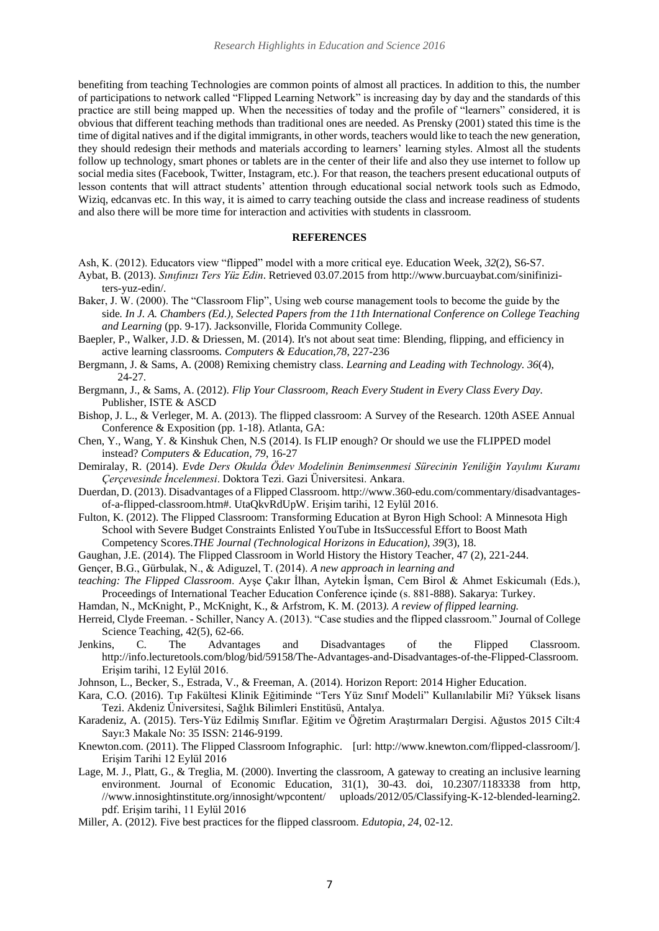benefiting from teaching Technologies are common points of almost all practices. In addition to this, the number of participations to network called "Flipped Learning Network" is increasing day by day and the standards of this practice are still being mapped up. When the necessities of today and the profile of "learners" considered, it is obvious that different teaching methods than traditional ones are needed. As Prensky (2001) stated this time is the time of digital natives and if the digital immigrants, in other words, teachers would like to teach the new generation, they should redesign their methods and materials according to learners' learning styles. Almost all the students follow up technology, smart phones or tablets are in the center of their life and also they use internet to follow up social media sites (Facebook, Twitter, Instagram, etc.). For that reason, the teachers present educational outputs of lesson contents that will attract students' attention through educational social network tools such as Edmodo, Wiziq, edcanvas etc. In this way, it is aimed to carry teaching outside the class and increase readiness of students and also there will be more time for interaction and activities with students in classroom.

### **REFERENCES**

- Ash, K. (2012). Educators view "flipped" model with a more critical eye. Education Week, *32*(2), S6-S7.
- Aybat, B. (2013). *Sınıfınızı Ters Yüz Edin*. Retrieved 03.07.2015 from http://www.burcuaybat.com/sinifiniziters-yuz-edin/.
- Baker, J. W. (2000). The "Classroom Flip", Using web course management tools to become the guide by the side*. In J. A. Chambers (Ed.), Selected Papers from the 11th International Conference on College Teaching and Learning* (pp. 9-17). Jacksonville, Florida Community College.
- Baepler, P., Walker, J.D. & Driessen, M. (2014). It's not about seat time: Blending, flipping, and efficiency in active learning classrooms*. Computers & Education*,*78*, 227-236
- Bergmann, J. & Sams, A. (2008) Remixing chemistry class. *Learning and Leading with Technology. 36*(4), 24-27.
- Bergmann, J., & Sams, A. (2012). *Flip Your Classroom, Reach Every Student in Every Class Every Day.*  Publisher, ISTE & ASCD
- Bishop, J. L., & Verleger, M. A. (2013). The flipped classroom: A Survey of the Research. 120th ASEE Annual Conference & Exposition (pp. 1-18). Atlanta, GA:
- Chen, Y., Wang, Y. & Kinshuk Chen, N.S (2014). Is FLIP enough? Or should we use the FLIPPED model instead? *Computers & Education, 79*, 16-27

Demiralay, R. (2014). *Evde Ders Okulda Ödev Modelinin Benimsenmesi Sürecinin Yeniliğin Yayılımı Kuramı Çerçevesinde İncelenmesi*. Doktora Tezi. Gazi Üniversitesi. Ankara.

- Duerdan, D. (2013). Disadvantages of a Flipped Classroom[. http://www.360-e](http://www.360-/)du.com/commentary/disadvantagesof-a-flipped-classroom.htm#. UtaQkvRdUpW. Erişim tarihi, 12 Eylül 2016.
- Fulton, K. (2012). The Flipped Classroom: Transforming Education at Byron High School: A Minnesota High School with Severe Budget Constraints Enlisted YouTube in ItsSuccessful Effort to Boost Math Competency Scores.*THE Journal (Technological Horizons in Education)*, *39*(3), 18.
- Gaughan, J.E. (2014). The Flipped Classroom in World History the History Teacher, 47 (2), 221-244.
- Gençer, B.G., Gürbulak, N., & Adiguzel, T. (2014). *A new approach in learning and*
- *teaching: The Flipped Classroom*. Ayşe Çakır İlhan, Aytekin İşman, Cem Birol & Ahmet Eskicumalı (Eds.), Proceedings of International Teacher Education Conference içinde (s. 881-888). Sakarya: Turkey.
- Hamdan, N., McKnight, P., McKnight, K., & Arfstrom, K. M. (2013*). A review of flipped learning.*
- Herreid, Clyde Freeman. Schiller, Nancy A. (2013). "Case studies and the flipped classroom." Journal of College Science Teaching, 42(5), 62-66.
- Jenkins, C. The Advantages and Disadvantages of the Flipped Classroom. [http://info.lecturetools.com/blog/bid/59158/The-Advantages-and-Disadvantages-of-the-Flipped-Classroom.](http://info.lecturetools.com/blog/bid/59158/The-Advantages-and-Disadvantages-of-%09the-Flipped-Classroom)  Erişim tarihi, 12 Eylül 2016.
- Johnson, L., Becker, S., Estrada, V., & Freeman, A. (2014). Horizon Report: 2014 Higher Education.
- Kara, C.O. (2016). Tıp Fakültesi Klinik Eğitiminde "Ters Yüz Sınıf Modeli" Kullanılabilir Mi? Yüksek lisans Tezi. Akdeniz Üniversitesi, Sağlık Bilimleri Enstitüsü, Antalya.
- Karadeniz, A. (2015). Ters-Yüz Edilmiş Sınıflar. Eğitim ve Öğretim Araştırmaları Dergisi. Ağustos 2015 Cilt:4 Sayı:3 Makale No: 35 ISSN: 2146-9199.
- Knewton.com. (2011). The Flipped Classroom Infographic. [url: http://www.knewton.com/flipped-classroom/]. Erişim Tarihi 12 Eylül 2016
- Lage, M. J., Platt, G., & Treglia, M. (2000). Inverting the classroom, A gateway to creating an inclusive learning environment. Journal of Economic Education, 31(1), 30-43. doi, 10.2307/1183338 from http, //www.innosightinstitute.org/innosight/wpcontent/ uploads/2012/05/Classifying-K-12-blended-learning2. pdf. Erişim tarihi, 11 Eylül 2016
- Miller, A. (2012). Five best practices for the flipped classroom. *Edutopia*, *24*, 02-12.